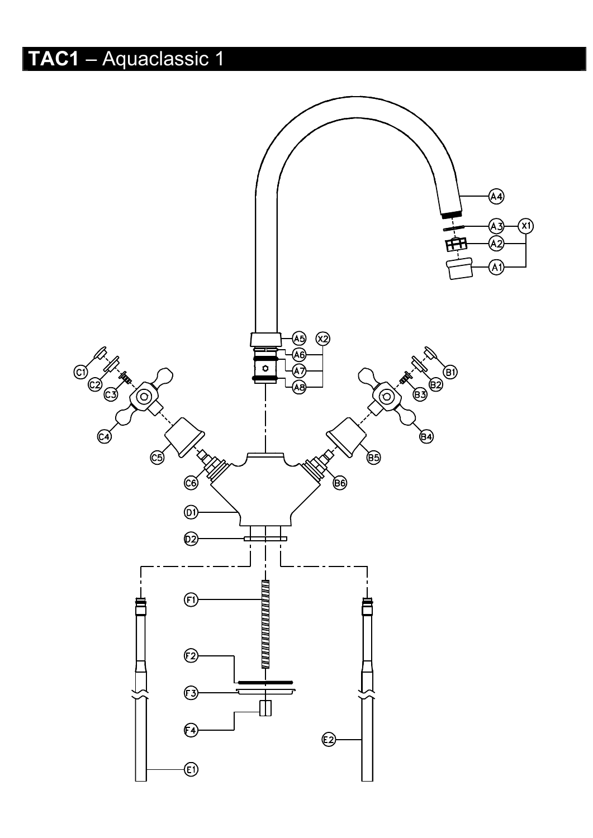## TAC1 - Aquaclassic 1